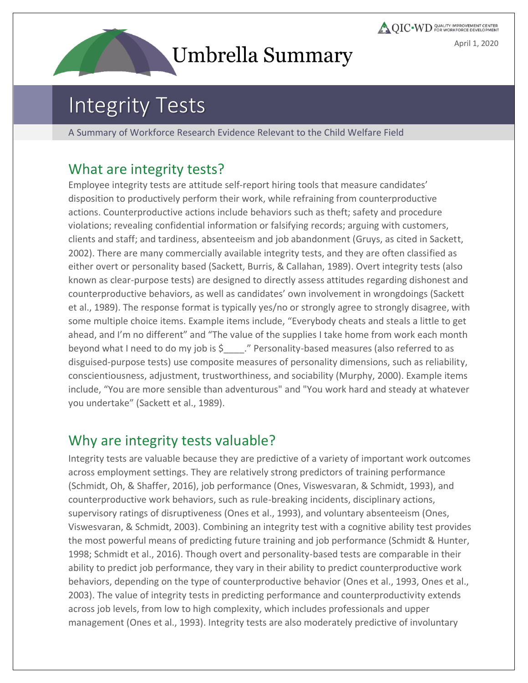# **Umbrella Summary**

**QIC** WD COALITY IMPROVEMENT CENTER April 1, 2020

## Integrity Tests

A Summary of Workforce Research Evidence Relevant to the Child Welfare Field

#### What are integrity tests?

Employee integrity tests are attitude self-report hiring tools that measure candidates' disposition to productively perform their work, while refraining from counterproductive actions. Counterproductive actions include behaviors such as theft; safety and procedure violations; revealing confidential information or falsifying records; arguing with customers, clients and staff; and tardiness, absenteeism and job abandonment (Gruys, as cited in Sackett, 2002). There are many commercially available integrity tests, and they are often classified as either overt or personality based (Sackett, Burris, & Callahan, 1989). Overt integrity tests (also known as clear-purpose tests) are designed to directly assess attitudes regarding dishonest and counterproductive behaviors, as well as candidates' own involvement in wrongdoings (Sackett et al., 1989). The response format is typically yes/no or strongly agree to strongly disagree, with some multiple choice items. Example items include, "Everybody cheats and steals a little to get ahead, and I'm no different" and "The value of the supplies I take home from work each month beyond what I need to do my job is \$ . " Personality-based measures (also referred to as disguised-purpose tests) use composite measures of personality dimensions, such as reliability, conscientiousness, adjustment, trustworthiness, and sociability (Murphy, 2000). Example items include, "You are more sensible than adventurous" and "You work hard and steady at whatever you undertake" (Sackett et al., 1989).

#### Why are integrity tests valuable?

Integrity tests are valuable because they are predictive of a variety of important work outcomes across employment settings. They are relatively strong predictors of training performance (Schmidt, Oh, & Shaffer, 2016), job performance (Ones, Viswesvaran, & Schmidt, 1993), and counterproductive work behaviors, such as rule-breaking incidents, disciplinary actions, supervisory ratings of disruptiveness (Ones et al., 1993), and voluntary absenteeism (Ones, Viswesvaran, & Schmidt, 2003). Combining an integrity test with a cognitive ability test provides the most powerful means of predicting future training and job performance (Schmidt & Hunter, 1998; Schmidt et al., 2016). Though overt and personality-based tests are comparable in their ability to predict job performance, they vary in their ability to predict counterproductive work behaviors, depending on the type of counterproductive behavior (Ones et al., 1993, Ones et al., 2003). The value of integrity tests in predicting performance and counterproductivity extends across job levels, from low to high complexity, which includes professionals and upper management (Ones et al., 1993). Integrity tests are also moderately predictive of involuntary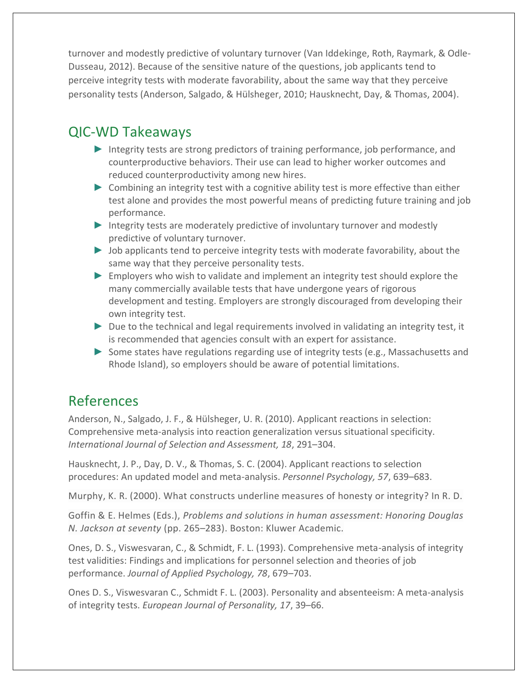turnover and modestly predictive of voluntary turnover (Van Iddekinge, Roth, Raymark, & Odle-Dusseau, 2012). Because of the sensitive nature of the questions, job applicants tend to perceive integrity tests with moderate favorability, about the same way that they perceive personality tests (Anderson, Salgado, & Hülsheger, 2010; Hausknecht, Day, & Thomas, 2004).

#### QIC-WD Takeaways

- ► Integrity tests are strong predictors of training performance, job performance, and counterproductive behaviors. Their use can lead to higher worker outcomes and reduced counterproductivity among new hires.
- ► Combining an integrity test with a cognitive ability test is more effective than either test alone and provides the most powerful means of predicting future training and job performance.
- ► Integrity tests are moderately predictive of involuntary turnover and modestly predictive of voluntary turnover.
- ► Job applicants tend to perceive integrity tests with moderate favorability, about the same way that they perceive personality tests.
- ► Employers who wish to validate and implement an integrity test should explore the many commercially available tests that have undergone years of rigorous development and testing. Employers are strongly discouraged from developing their own integrity test.
- ► Due to the technical and legal requirements involved in validating an integrity test, it is recommended that agencies consult with an expert for assistance.
- ► Some states have regulations regarding use of integrity tests (e.g., Massachusetts and Rhode Island), so employers should be aware of potential limitations.

#### References

Anderson, N., Salgado, J. F., & Hülsheger, U. R. (2010). Applicant reactions in selection: Comprehensive meta-analysis into reaction generalization versus situational specificity. *International Journal of Selection and Assessment, 18*, 291–304.

Hausknecht, J. P., Day, D. V., & Thomas, S. C. (2004). Applicant reactions to selection procedures: An updated model and meta-analysis. *Personnel Psychology, 57*, 639–683.

Murphy, K. R. (2000). What constructs underline measures of honesty or integrity? In R. D.

Goffin & E. Helmes (Eds.), *Problems and solutions in human assessment: Honoring Douglas N. Jackson at seventy* (pp. 265–283). Boston: Kluwer Academic.

Ones, D. S., Viswesvaran, C., & Schmidt, F. L. (1993). Comprehensive meta-analysis of integrity test validities: Findings and implications for personnel selection and theories of job performance. *Journal of Applied Psychology, 78*, 679–703.

Ones D. S., Viswesvaran C., Schmidt F. L. (2003). Personality and absenteeism: A meta-analysis of integrity tests. *European Journal of Personality, 17*, 39–66.